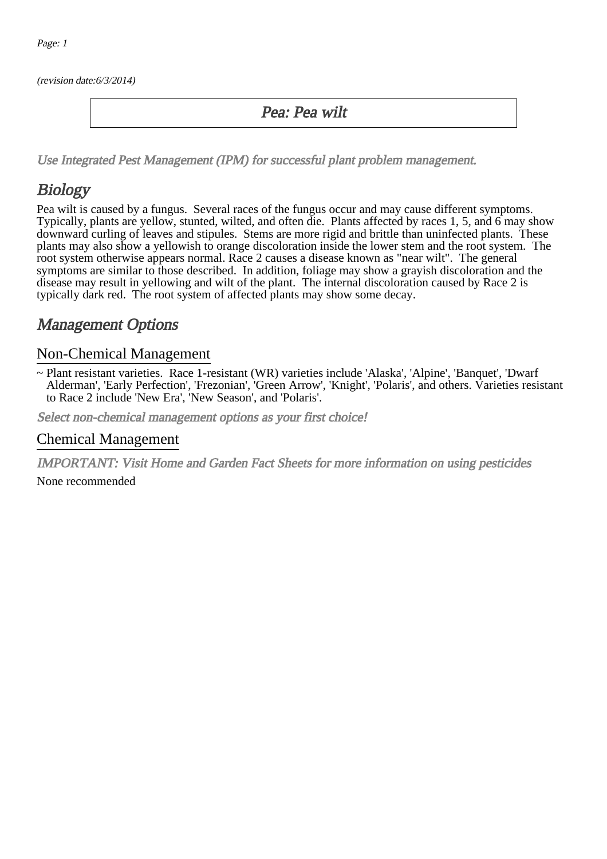(revision date:6/3/2014)

### Pea: Pea wilt

[Use Integrated Pest Management \(IPM\) for successful plant problem management.](http://pep.wsu.edu/Home_Garden/H_G_Pesticide_info/urban_Integrated_Pest_Managmen/)

## Biology

Pea wilt is caused by a fungus. Several races of the fungus occur and may cause different symptoms. Typically, plants are yellow, stunted, wilted, and often die. Plants affected by races 1, 5, and 6 may show downward curling of leaves and stipules. Stems are more rigid and brittle than uninfected plants. These plants may also show a yellowish to orange discoloration inside the lower stem and the root system. The root system otherwise appears normal. Race 2 causes a disease known as "near wilt". The general symptoms are similar to those described. In addition, foliage may show a grayish discoloration and the disease may result in yellowing and wilt of the plant. The internal discoloration caused by Race 2 is typically dark red. The root system of affected plants may show some decay.

### Management Options

#### Non-Chemical Management

~ Plant resistant varieties. Race 1-resistant (WR) varieties include 'Alaska', 'Alpine', 'Banquet', 'Dwarf Alderman', 'Early Perfection', 'Frezonian', 'Green Arrow', 'Knight', 'Polaris', and others. Varieties resistant to Race 2 include 'New Era', 'New Season', and 'Polaris'.

Select non-chemical management options as your first choice!

#### Chemical Management

IMPORTANT: [Visit Home and Garden Fact Sheets for more information on using pesticides](http://pep.wsu.edu/Home_Garden/H_G_Pesticide_info/)

None recommended